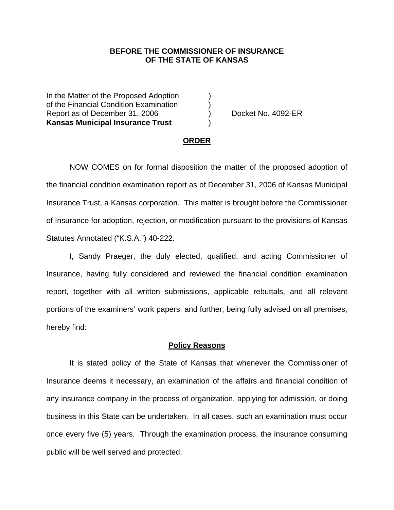### **BEFORE THE COMMISSIONER OF INSURANCE OF THE STATE OF KANSAS**

In the Matter of the Proposed Adoption of the Financial Condition Examination ) Report as of December 31, 2006 (a) Report as of December 31, 2006 **Kansas Municipal Insurance Trust** )

#### **ORDER**

 NOW COMES on for formal disposition the matter of the proposed adoption of the financial condition examination report as of December 31, 2006 of Kansas Municipal Insurance Trust, a Kansas corporation. This matter is brought before the Commissioner of Insurance for adoption, rejection, or modification pursuant to the provisions of Kansas Statutes Annotated ("K.S.A.") 40-222.

 I, Sandy Praeger, the duly elected, qualified, and acting Commissioner of Insurance, having fully considered and reviewed the financial condition examination report, together with all written submissions, applicable rebuttals, and all relevant portions of the examiners' work papers, and further, being fully advised on all premises, hereby find:

#### **Policy Reasons**

 It is stated policy of the State of Kansas that whenever the Commissioner of Insurance deems it necessary, an examination of the affairs and financial condition of any insurance company in the process of organization, applying for admission, or doing business in this State can be undertaken. In all cases, such an examination must occur once every five (5) years. Through the examination process, the insurance consuming public will be well served and protected.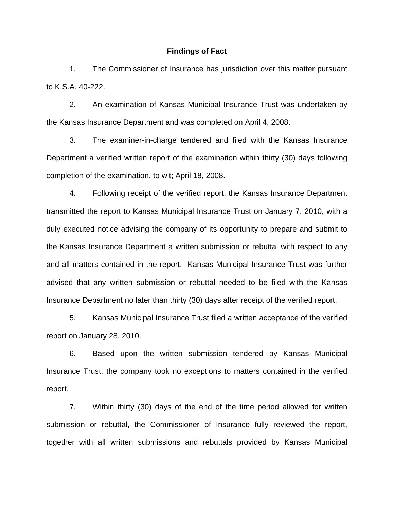#### **Findings of Fact**

 1. The Commissioner of Insurance has jurisdiction over this matter pursuant to K.S.A. 40-222.

 2. An examination of Kansas Municipal Insurance Trust was undertaken by the Kansas Insurance Department and was completed on April 4, 2008.

 3. The examiner-in-charge tendered and filed with the Kansas Insurance Department a verified written report of the examination within thirty (30) days following completion of the examination, to wit; April 18, 2008.

 4. Following receipt of the verified report, the Kansas Insurance Department transmitted the report to Kansas Municipal Insurance Trust on January 7, 2010, with a duly executed notice advising the company of its opportunity to prepare and submit to the Kansas Insurance Department a written submission or rebuttal with respect to any and all matters contained in the report. Kansas Municipal Insurance Trust was further advised that any written submission or rebuttal needed to be filed with the Kansas Insurance Department no later than thirty (30) days after receipt of the verified report.

 5. Kansas Municipal Insurance Trust filed a written acceptance of the verified report on January 28, 2010.

6. Based upon the written submission tendered by Kansas Municipal Insurance Trust, the company took no exceptions to matters contained in the verified report.

 7. Within thirty (30) days of the end of the time period allowed for written submission or rebuttal, the Commissioner of Insurance fully reviewed the report, together with all written submissions and rebuttals provided by Kansas Municipal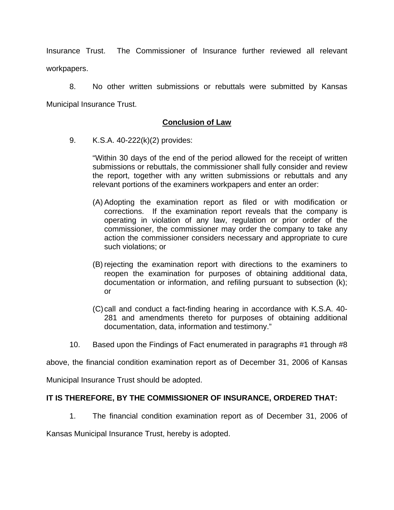Insurance Trust. The Commissioner of Insurance further reviewed all relevant workpapers.

 8. No other written submissions or rebuttals were submitted by Kansas Municipal Insurance Trust.

# **Conclusion of Law**

9. K.S.A. 40-222(k)(2) provides:

"Within 30 days of the end of the period allowed for the receipt of written submissions or rebuttals, the commissioner shall fully consider and review the report, together with any written submissions or rebuttals and any relevant portions of the examiners workpapers and enter an order:

- (A) Adopting the examination report as filed or with modification or corrections. If the examination report reveals that the company is operating in violation of any law, regulation or prior order of the commissioner, the commissioner may order the company to take any action the commissioner considers necessary and appropriate to cure such violations; or
- (B) rejecting the examination report with directions to the examiners to reopen the examination for purposes of obtaining additional data, documentation or information, and refiling pursuant to subsection (k); or
- (C) call and conduct a fact-finding hearing in accordance with K.S.A. 40- 281 and amendments thereto for purposes of obtaining additional documentation, data, information and testimony."
- 10. Based upon the Findings of Fact enumerated in paragraphs #1 through #8

above, the financial condition examination report as of December 31, 2006 of Kansas

Municipal Insurance Trust should be adopted.

## **IT IS THEREFORE, BY THE COMMISSIONER OF INSURANCE, ORDERED THAT:**

1. The financial condition examination report as of December 31, 2006 of

Kansas Municipal Insurance Trust, hereby is adopted.